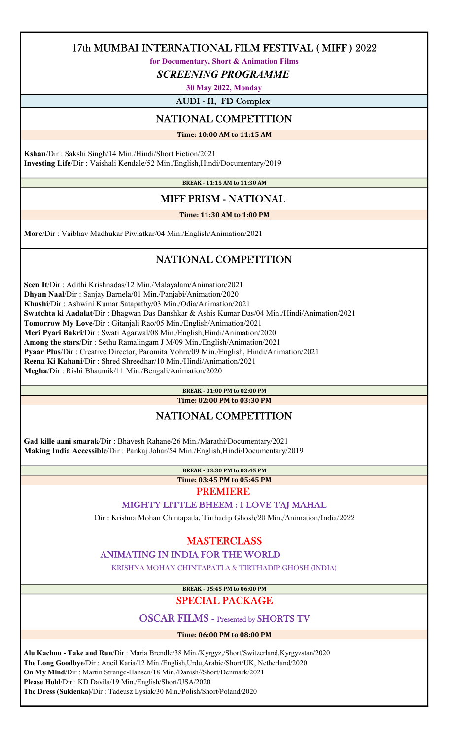for Documentary, Short & Animation Films

SCREENING PROGRAMME

30 May 2022, Monday

AUDI - II, FD Complex

## NATIONAL COMPETITION

Time: 10:00 AM to 11:15 AM

 Kshan/Dir : Sakshi Singh/14 Min./Hindi/Short Fiction/2021 Investing Life/Dir : Vaishali Kendale/52 Min./English,Hindi/Documentary/2019

BREAK - 11:15 AM to 11:30 AM

## MIFF PRISM - NATIONAL

### Time: 11:30 AM to 1:00 PM

More/Dir : Vaibhav Madhukar Piwlatkar/04 Min./English/Animation/2021

# NATIONAL COMPETITION

 Seen It/Dir : Adithi Krishnadas/12 Min./Malayalam/Animation/2021 Dhyan Naal/Dir : Sanjay Barnela/01 Min./Panjabi/Animation/2020 Khushi/Dir : Ashwini Kumar Satapathy/03 Min./Odia/Animation/2021 Swatchta ki Aadalat/Dir : Bhagwan Das Banshkar & Ashis Kumar Das/04 Min./Hindi/Animation/2021 Tomorrow My Love/Dir : Gitanjali Rao/05 Min./English/Animation/2021 Meri Pyari Bakri/Dir : Swati Agarwal/08 Min./English,Hindi/Animation/2020 Among the stars/Dir : Sethu Ramalingam J M/09 Min./English/Animation/2021 Pyaar Plus/Dir : Creative Director, Paromita Vohra/09 Min./English, Hindi/Animation/2021 Reena Ki Kahani/Dir : Shred Shreedhar/10 Min./Hindi/Animation/2021 Megha/Dir : Rishi Bhaumik/11 Min./Bengali/Animation/2020

### BREAK - 01:00 PM to 02:00 PM

Time: 02:00 PM to 03:30 PM

## NATIONAL COMPETITION

 Gad kille aani smarak/Dir : Bhavesh Rahane/26 Min./Marathi/Documentary/2021 Making India Accessible/Dir : Pankaj Johar/54 Min./English,Hindi/Documentary/2019

BREAK - 03:30 PM to 03:45 PM

Time: 03:45 PM to 05:45 PM

### **PREMIERE**

### MIGHTY LITTLE BHEEM : I LOVE TAJ MAHAL

Dir : Krishna Mohan Chintapatla, Tirthadip Ghosh/20 Min./Animation/India/2022

### **MASTERCLASS**

### ANIMATING IN INDIA FOR THE WORLD

KRISHNA MOHAN CHINTAPATLA & TIRTHADIP GHOSH (INDIA)

BREAK - 05:45 PM to 06:00 PM

### SPECIAL PACKAGE

### OSCAR FILMS - Presented by SHORTS TV

Time: 06:00 PM to 08:00 PM

 Alu Kachuu - Take and Run/Dir : Maria Brendle/38 Min./Kyrgyz,/Short/Switzerland,Kyrgyzstan/2020 The Long Goodbye/Dir : Aneil Karia/12 Min./English,Urdu,Arabic/Short/UK, Netherland/2020 On My Mind/Dir : Martin Strange-Hansen/18 Min./Danish//Short/Denmark/2021 Please Hold/Dir : KD Davila/19 Min./English/Short/USA/2020 The Dress (Sukienka)/Dir : Tadeusz Lysiak/30 Min./Polish/Short/Poland/2020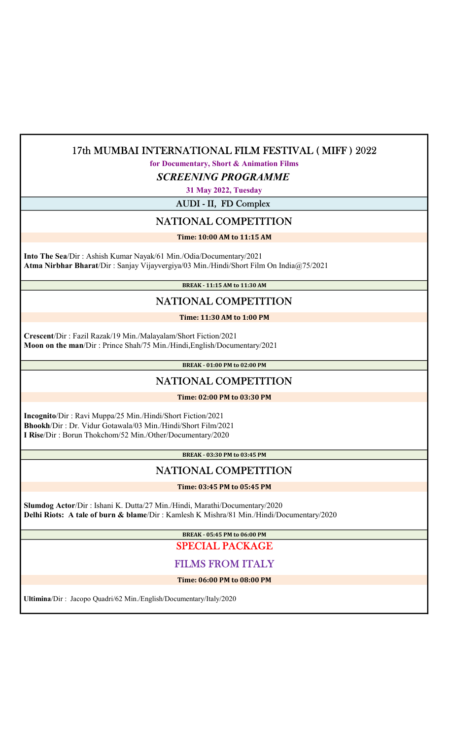for Documentary, Short & Animation Films

SCREENING PROGRAMME

31 May 2022, Tuesday

AUDI - II, FD Complex

## NATIONAL COMPETITION

Time: 10:00 AM to 11:15 AM

 Into The Sea/Dir : Ashish Kumar Nayak/61 Min./Odia/Documentary/2021 Atma Nirbhar Bharat/Dir : Sanjay Vijayvergiya/03 Min./Hindi/Short Film On India@75/2021

BREAK - 11:15 AM to 11:30 AM

# NATIONAL COMPETITION

### Time: 11:30 AM to 1:00 PM

 Crescent/Dir : Fazil Razak/19 Min./Malayalam/Short Fiction/2021 Moon on the man/Dir : Prince Shah/75 Min./Hindi,English/Documentary/2021

BREAK - 01:00 PM to 02:00 PM

## NATIONAL COMPETITION

Time: 02:00 PM to 03:30 PM

 Incognito/Dir : Ravi Muppa/25 Min./Hindi/Short Fiction/2021 Bhookh/Dir : Dr. Vidur Gotawala/03 Min./Hindi/Short Film/2021 I Rise/Dir : Borun Thokchom/52 Min./Other/Documentary/2020

BREAK - 03:30 PM to 03:45 PM

## NATIONAL COMPETITION

Time: 03:45 PM to 05:45 PM

 Slumdog Actor/Dir : Ishani K. Dutta/27 Min./Hindi, Marathi/Documentary/2020 Delhi Riots: A tale of burn & blame/Dir : Kamlesh K Mishra/81 Min./Hindi/Documentary/2020

BREAK - 05:45 PM to 06:00 PM

# SPECIAL PACKAGE

# FILMS FROM ITALY

Time: 06:00 PM to 08:00 PM

Ultimina/Dir : Jacopo Quadri/62 Min./English/Documentary/Italy/2020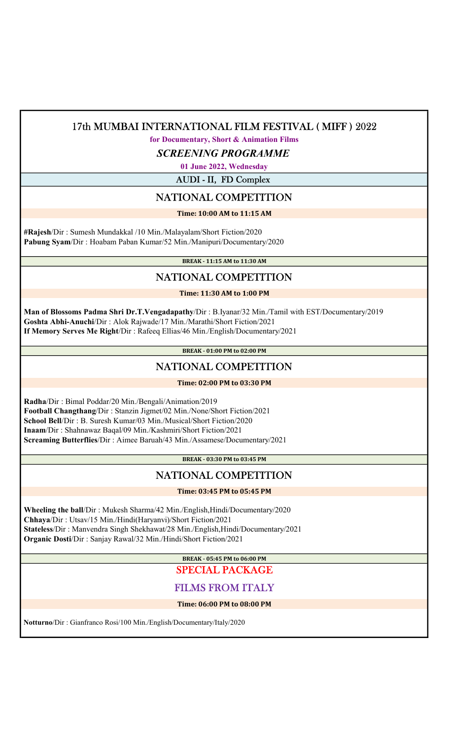for Documentary, Short & Animation Films

SCREENING PROGRAMME

01 June 2022, Wednesday

AUDI - II, FD Complex

## NATIONAL COMPETITION

Time: 10:00 AM to 11:15 AM

 #Rajesh/Dir : Sumesh Mundakkal /10 Min./Malayalam/Short Fiction/2020 Pabung Syam/Dir : Hoabam Paban Kumar/52 Min./Manipuri/Documentary/2020

BREAK - 11:15 AM to 11:30 AM

# NATIONAL COMPETITION

Time: 11:30 AM to 1:00 PM

 Man of Blossoms Padma Shri Dr.T.Vengadapathy/Dir : B.Iyanar/32 Min./Tamil with EST/Documentary/2019 Goshta Abhi-Anuchi/Dir : Alok Rajwade/17 Min./Marathi/Short Fiction/2021 If Memory Serves Me Right/Dir : Rafeeq Ellias/46 Min./English/Documentary/2021

BREAK - 01:00 PM to 02:00 PM

## NATIONAL COMPETITION

Time: 02:00 PM to 03:30 PM

 Radha/Dir : Bimal Poddar/20 Min./Bengali/Animation/2019 Football Changthang/Dir : Stanzin Jigmet/02 Min./None/Short Fiction/2021 School Bell/Dir : B. Suresh Kumar/03 Min./Musical/Short Fiction/2020 Inaam/Dir : Shahnawaz Baqal/09 Min./Kashmiri/Short Fiction/2021 Screaming Butterflies/Dir : Aimee Baruah/43 Min./Assamese/Documentary/2021

BREAK - 03:30 PM to 03:45 PM

# NATIONAL COMPETITION

Time: 03:45 PM to 05:45 PM

 Wheeling the ball/Dir : Mukesh Sharma/42 Min./English,Hindi/Documentary/2020 Chhaya/Dir : Utsav/15 Min./Hindi(Haryanvi)/Short Fiction/2021 Stateless/Dir : Manvendra Singh Shekhawat/28 Min./English,Hindi/Documentary/2021 Organic Dosti/Dir : Sanjay Rawal/32 Min./Hindi/Short Fiction/2021

> BREAK - 05:45 PM to 06:00 PM SPECIAL PACKAGE

# FILMS FROM ITALY

Time: 06:00 PM to 08:00 PM

Notturno/Dir : Gianfranco Rosi/100 Min./English/Documentary/Italy/2020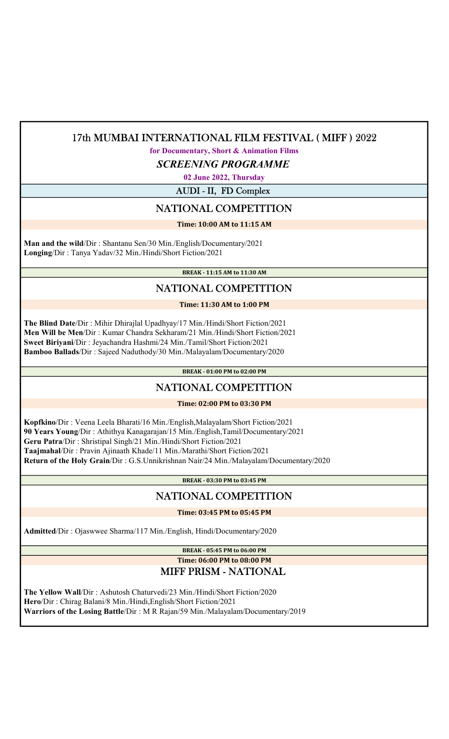### for Documentary, Short & Animation Films

### SCREENING PROGRAMME

02 June 2022, Thursday

AUDI - II, FD Complex

## NATIONAL COMPETITION

### Time: 10:00 AM to 11:15 AM

 Man and the wild/Dir : Shantanu Sen/30 Min./English/Documentary/2021 Longing/Dir : Tanya Yadav/32 Min./Hindi/Short Fiction/2021

BREAK - 11:15 AM to 11:30 AM

# NATIONAL COMPETITION

Time: 11:30 AM to 1:00 PM

 The Blind Date/Dir : Mihir Dhirajlal Upadhyay/17 Min./Hindi/Short Fiction/2021 Men Will be Men/Dir : Kumar Chandra Sekharam/21 Min./Hindi/Short Fiction/2021 Sweet Biriyani/Dir : Jeyachandra Hashmi/24 Min./Tamil/Short Fiction/2021 Bamboo Ballads/Dir : Sajeed Naduthody/30 Min./Malayalam/Documentary/2020

BREAK - 01:00 PM to 02:00 PM

# NATIONAL COMPETITION

### Time: 02:00 PM to 03:30 PM

 Kopfkino/Dir : Veena Leela Bharati/16 Min./English,Malayalam/Short Fiction/2021 90 Years Young/Dir : Athithya Kanagarajan/15 Min./English,Tamil/Documentary/2021 Geru Patra/Dir : Shristipal Singh/21 Min./Hindi/Short Fiction/2021 Taajmahal/Dir : Pravin Ajinaath Khade/11 Min./Marathi/Short Fiction/2021 Return of the Holy Grain/Dir : G.S.Unnikrishnan Nair/24 Min./Malayalam/Documentary/2020

BREAK - 03:30 PM to 03:45 PM

## NATIONAL COMPETITION

Time: 03:45 PM to 05:45 PM

Admitted/Dir : Ojaswwee Sharma/117 Min./English, Hindi/Documentary/2020

# BREAK - 05:45 PM to 06:00 PM

### Time: 06:00 PM to 08:00 PM MIFF PRISM - NATIONAL

 The Yellow Wall/Dir : Ashutosh Chaturvedi/23 Min./Hindi/Short Fiction/2020 Hero/Dir : Chirag Balani/8 Min./Hindi,English/Short Fiction/2021 Warriors of the Losing Battle/Dir : M R Rajan/59 Min./Malayalam/Documentary/2019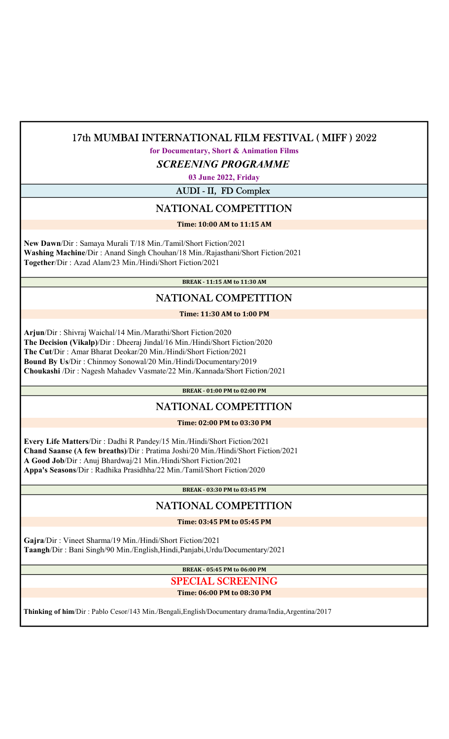### for Documentary, Short & Animation Films

SCREENING PROGRAMME

03 June 2022, Friday

AUDI - II, FD Complex

## NATIONAL COMPETITION

Time: 10:00 AM to 11:15 AM

 New Dawn/Dir : Samaya Murali T/18 Min./Tamil/Short Fiction/2021 Washing Machine/Dir : Anand Singh Chouhan/18 Min./Rajasthani/Short Fiction/2021 Together/Dir : Azad Alam/23 Min./Hindi/Short Fiction/2021

BREAK - 11:15 AM to 11:30 AM

# NATIONAL COMPETITION

Time: 11:30 AM to 1:00 PM

 Arjun/Dir : Shivraj Waichal/14 Min./Marathi/Short Fiction/2020 The Decision (Vikalp)/Dir : Dheeraj Jindal/16 Min./Hindi/Short Fiction/2020 The Cut/Dir : Amar Bharat Deokar/20 Min./Hindi/Short Fiction/2021 Bound By Us/Dir : Chinmoy Sonowal/20 Min./Hindi/Documentary/2019 Choukashi /Dir : Nagesh Mahadev Vasmate/22 Min./Kannada/Short Fiction/2021

BREAK - 01:00 PM to 02:00 PM

# NATIONAL COMPETITION

Time: 02:00 PM to 03:30 PM

 Every Life Matters/Dir : Dadhi R Pandey/15 Min./Hindi/Short Fiction/2021 Chand Saanse (A few breaths)/Dir : Pratima Joshi/20 Min./Hindi/Short Fiction/2021 A Good Job/Dir : Anuj Bhardwaj/21 Min./Hindi/Short Fiction/2021 Appa's Seasons/Dir : Radhika Prasidhha/22 Min./Tamil/Short Fiction/2020

BREAK - 03:30 PM to 03:45 PM

## NATIONAL COMPETITION

Time: 03:45 PM to 05:45 PM

 Gajra/Dir : Vineet Sharma/19 Min./Hindi/Short Fiction/2021 Taangh/Dir : Bani Singh/90 Min./English,Hindi,Panjabi,Urdu/Documentary/2021

> BREAK - 05:45 PM to 06:00 PM SPECIAL SCREENING

### Time: 06:00 PM to 08:30 PM

Thinking of him/Dir : Pablo Cesor/143 Min./Bengali,English/Documentary drama/India,Argentina/2017